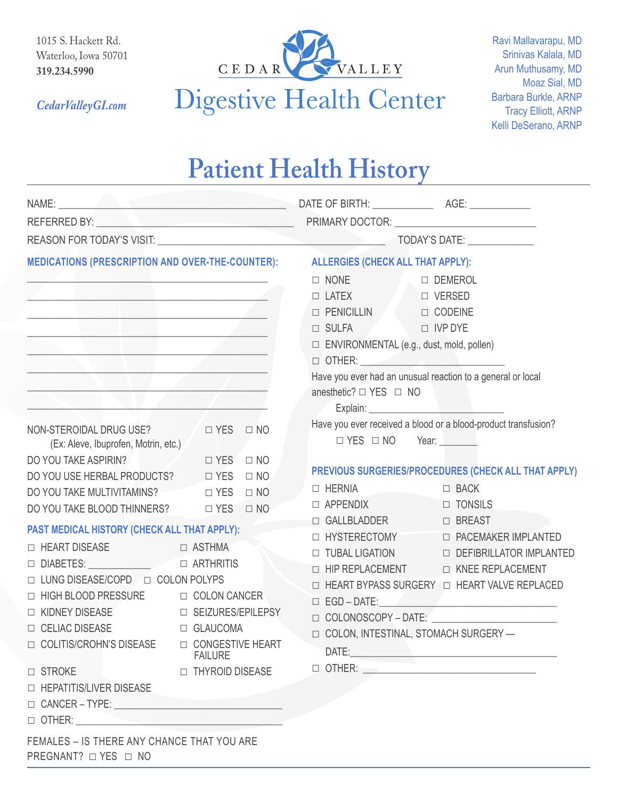1015 S. Hackett Rd. Waterloo, Iowa 50701 **319.234.5990**

*CedarValleyGI.com*



## **Patient Health History**

| MEDICATIONS (PRESCRIPTION AND OVER-THE-COUNTER): ALLERGIES (CHECK ALL THAT APPLY):<br><u> 1989 - Johann Stein, Amerikaansk politiker (</u><br><u> 1989 - Johann Stein, Amerikaansk politiker († 1908)</u><br><u> 1989 - Johann Harry Harry Harry Harry Harry Harry Harry Harry Harry Harry Harry Harry Harry Harry Harry Harry</u><br><u> De la contrada de la contrada de la contrada de la contrada de la contrada de la contrada de la contrada de l</u> |           | $\Box$ NONE<br>D DEMEROL<br>□ LATEX □ VERSED<br>D PENICILLIN D CODEINE<br>$\Box$ SULFA $\Box$ IVP DYE<br>□ ENVIRONMENTAL (e.g., dust, mold, pollen)<br>$\Box$ OTHER: $\Box$                                                                                                                                                                                           |                                                                |
|-------------------------------------------------------------------------------------------------------------------------------------------------------------------------------------------------------------------------------------------------------------------------------------------------------------------------------------------------------------------------------------------------------------------------------------------------------------|-----------|-----------------------------------------------------------------------------------------------------------------------------------------------------------------------------------------------------------------------------------------------------------------------------------------------------------------------------------------------------------------------|----------------------------------------------------------------|
|                                                                                                                                                                                                                                                                                                                                                                                                                                                             |           |                                                                                                                                                                                                                                                                                                                                                                       |                                                                |
| D YES ONO<br>NON-STEROIDAL DRUG USE?<br>(Ex: Aleve, Ibuprofen, Motrin, etc.)                                                                                                                                                                                                                                                                                                                                                                                |           | $\Box$ YES $\Box$ NO Year:                                                                                                                                                                                                                                                                                                                                            | Have you ever received a blood or a blood-product transfusion? |
| DO YOU TAKE ASPIRIN?<br>DIVES ON NO                                                                                                                                                                                                                                                                                                                                                                                                                         |           |                                                                                                                                                                                                                                                                                                                                                                       | PREVIOUS SURGERIES/PROCEDURES (CHECK ALL THAT APPLY)           |
| DO YOU USE HERBAL PRODUCTS? □ YES □ NO<br>DO YOU TAKE MULTIVITAMINS? □ YES                                                                                                                                                                                                                                                                                                                                                                                  | $\Box$ NO | $\Box$ HERNIA                                                                                                                                                                                                                                                                                                                                                         | $\Box$ BACK                                                    |
|                                                                                                                                                                                                                                                                                                                                                                                                                                                             |           | $\Box$ APPENDIX                                                                                                                                                                                                                                                                                                                                                       | □ TONSILS                                                      |
| DO YOU TAKE BLOOD THINNERS? $\Box$ YES $\Box$ NO<br>PAST MEDICAL HISTORY (CHECK ALL THAT APPLY):<br>$\Box$ HEART DISEASE $\Box$ ASTHMA<br>□ LUNG DISEASE/COPD □ COLON POLYPS<br>□ HIGH BLOOD PRESSURE □ COLON CANCER<br>□ KIDNEY DISEASE □ SEIZURES/EPILEPSY<br>$\Box$ CELIAC DISEASE $\Box$ GLAUCOMA<br>□ COLITIS/CROHN'S DISEASE □ CONGESTIVE HEART<br><b>FAILURE</b><br>□ STROKE<br>□ THYROID DISEASE                                                    |           | □ GALLBLADDER<br>□ BREAST<br>□ HYSTERECTOMY □ PACEMAKER IMPLANTED<br>□ TUBAL LIGATION □ DEFIBRILLATOR IMPLANTED<br>D HIP REPLACEMENT D KNEE REPLACEMENT<br>□ HEART BYPASS SURGERY □ HEART VALVE REPLACED<br>$\Box$ EGD – DATE:<br>$\Box$ COLONOSCOPY - DATE: $\_\_\_\_\_\_\_\_\_\_\_$<br>□ COLON, INTESTINAL, STOMACH SURGERY -<br>$\Box$ OTHER: $\qquad \qquad \Box$ |                                                                |
| □ HEPATITIS/LIVER DISEASE<br>$\Box$ OTHER: $\qquad \qquad \Box$<br>FEMALES - IS THERE ANY CHANCE THAT YOU ARE                                                                                                                                                                                                                                                                                                                                               |           |                                                                                                                                                                                                                                                                                                                                                                       |                                                                |

PREGNANT? □ YES □ NO